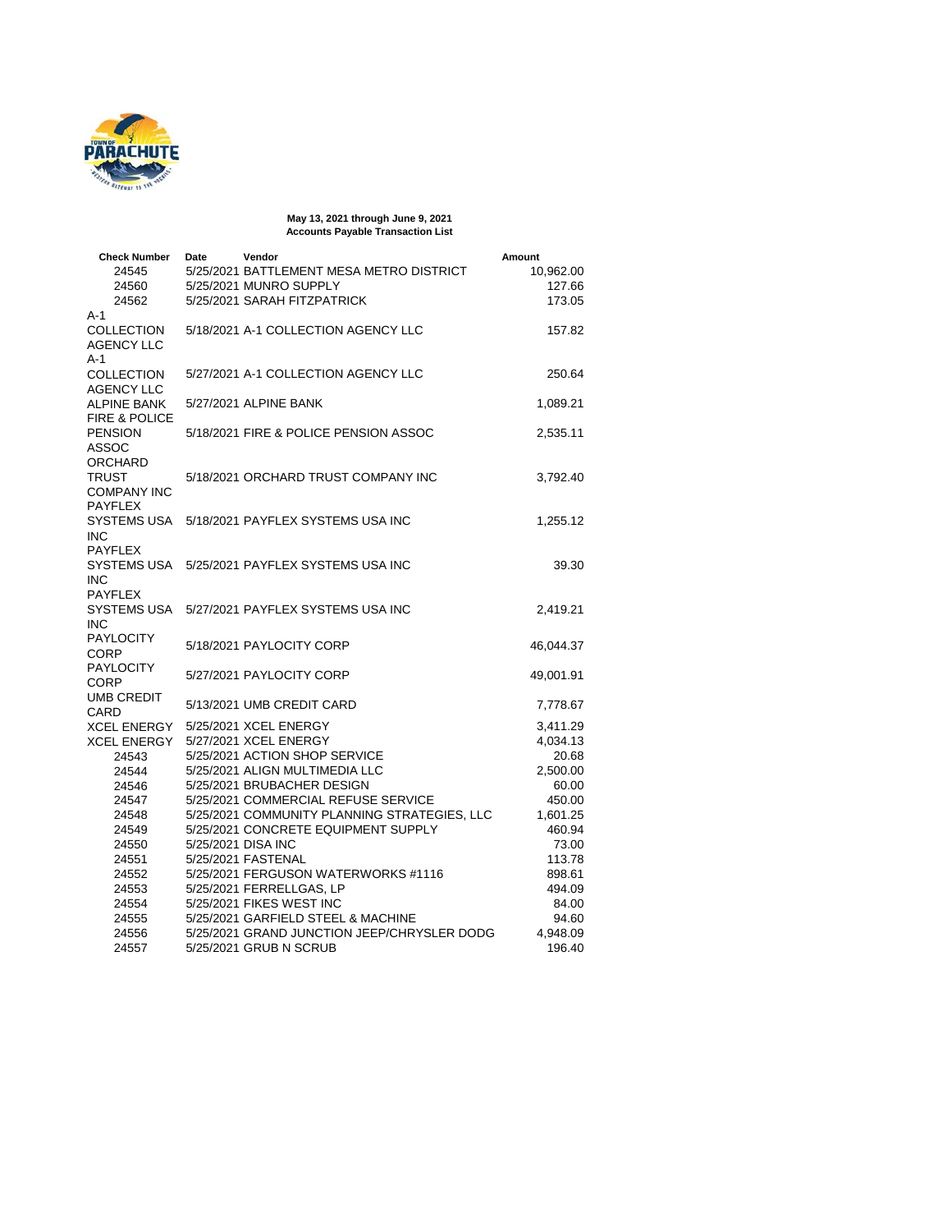

**May 13, 2021 through June 9, 2021 Accounts Payable Transaction List**

| <b>Check Number</b><br>24545                    | Date | Vendor<br>5/25/2021 BATTLEMENT MESA METRO DISTRICT              | Amount<br>10,962.00  |
|-------------------------------------------------|------|-----------------------------------------------------------------|----------------------|
| 24560<br>24562<br>$A-1$                         |      | 5/25/2021 MUNRO SUPPLY<br>5/25/2021 SARAH FITZPATRICK           | 127.66<br>173.05     |
| <b>COLLECTION</b><br><b>AGENCY LLC</b><br>$A-1$ |      | 5/18/2021 A-1 COLLECTION AGENCY LLC                             | 157.82               |
| <b>COLLECTION</b><br><b>AGENCY LLC</b>          |      | 5/27/2021 A-1 COLLECTION AGENCY LLC                             | 250.64               |
| <b>ALPINE BANK</b><br><b>FIRE &amp; POLICE</b>  |      | 5/27/2021 ALPINE BANK                                           | 1,089.21             |
| <b>PENSION</b><br><b>ASSOC</b><br>ORCHARD       |      | 5/18/2021 FIRE & POLICE PENSION ASSOC                           | 2,535.11             |
| TRUST<br><b>COMPANY INC</b><br><b>PAYFLEX</b>   |      | 5/18/2021 ORCHARD TRUST COMPANY INC                             | 3,792.40             |
| SYSTEMS USA<br><b>INC</b><br><b>PAYFLEX</b>     |      | 5/18/2021 PAYFLEX SYSTEMS USA INC                               | 1,255.12             |
| SYSTEMS USA<br><b>INC</b><br><b>PAYFLEX</b>     |      | 5/25/2021 PAYFLEX SYSTEMS USA INC                               | 39.30                |
| SYSTEMS USA<br>INC                              |      | 5/27/2021 PAYFLEX SYSTEMS USA INC                               | 2,419.21             |
| <b>PAYLOCITY</b><br>CORP                        |      | 5/18/2021 PAYLOCITY CORP                                        | 46,044.37            |
| <b>PAYLOCITY</b><br>CORP                        |      | 5/27/2021 PAYLOCITY CORP                                        | 49,001.91            |
| <b>UMB CREDIT</b><br>CARD                       |      | 5/13/2021 UMB CREDIT CARD                                       | 7,778.67             |
| XCEL ENERGY<br>XCEL ENERGY                      |      | 5/25/2021 XCEL ENERGY<br>5/27/2021 XCEL ENERGY                  | 3,411.29<br>4,034.13 |
| 24543                                           |      | 5/25/2021 ACTION SHOP SERVICE                                   | 20.68                |
| 24544                                           |      | 5/25/2021 ALIGN MULTIMEDIA LLC                                  | 2,500.00             |
| 24546                                           |      | 5/25/2021 BRUBACHER DESIGN                                      | 60.00                |
| 24547                                           |      | 5/25/2021 COMMERCIAL REFUSE SERVICE                             | 450.00               |
| 24548                                           |      | 5/25/2021 COMMUNITY PLANNING STRATEGIES, LLC                    | 1,601.25             |
| 24549                                           |      | 5/25/2021 CONCRETE EQUIPMENT SUPPLY                             | 460.94               |
| 24550                                           |      | 5/25/2021 DISA INC                                              | 73.00                |
| 24551<br>24552                                  |      | 5/25/2021 FASTENAL                                              | 113.78               |
| 24553                                           |      | 5/25/2021 FERGUSON WATERWORKS #1116<br>5/25/2021 FERRELLGAS, LP | 898.61<br>494.09     |
| 24554                                           |      | 5/25/2021 FIKES WEST INC                                        | 84.00                |
| 24555                                           |      | 5/25/2021 GARFIELD STEEL & MACHINE                              | 94.60                |
| 24556                                           |      | 5/25/2021 GRAND JUNCTION JEEP/CHRYSLER DODG                     | 4,948.09             |
| 24557                                           |      | 5/25/2021 GRUB N SCRUB                                          | 196.40               |